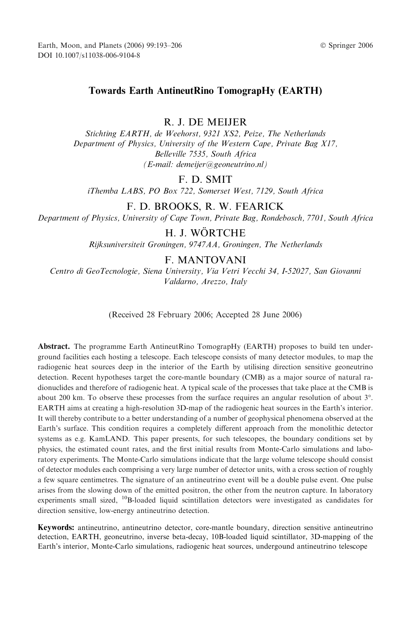## Towards Earth AntineutRino TomograpHy (EARTH)

R. J. DE MEIJER

Stichting EARTH, de Weehorst, 9321 XS2, Peize, The Netherlands Department of Physics, University of the Western Cape, Private Bag X17, Belleville 7535, South Africa (E-mail: demeijer@geoneutrino.nl)

#### F. D. SMIT

iThemba LABS, PO Box 722, Somerset West, 7129, South Africa

## F. D. BROOKS, R. W. FEARICK

Department of Physics, University of Cape Town, Private Bag, Rondebosch, 7701, South Africa

H. J. WÖRTCHE

Rijksuniversiteit Groningen, 9747AA, Groningen, The Netherlands

# F. MANTOVANI

Centro di GeoTecnologie, Siena University, Via Vetri Vecchi 34, I-52027, San Giovanni Valdarno, Arezzo, Italy

(Received 28 February 2006; Accepted 28 June 2006)

Abstract. The programme Earth AntineutRino TomograpHy (EARTH) proposes to build ten underground facilities each hosting a telescope. Each telescope consists of many detector modules, to map the radiogenic heat sources deep in the interior of the Earth by utilising direction sensitive geoneutrino detection. Recent hypotheses target the core-mantle boundary (CMB) as a major source of natural radionuclides and therefore of radiogenic heat. A typical scale of the processes that take place at the CMB is about 200 km. To observe these processes from the surface requires an angular resolution of about  $3^\circ$ . EARTH aims at creating a high-resolution 3D-map of the radiogenic heat sources in the Earth's interior. It will thereby contribute to a better understanding of a number of geophysical phenomena observed at the Earth's surface. This condition requires a completely different approach from the monolithic detector systems as e.g. KamLAND. This paper presents, for such telescopes, the boundary conditions set by physics, the estimated count rates, and the first initial results from Monte-Carlo simulations and laboratory experiments. The Monte-Carlo simulations indicate that the large volume telescope should consist of detector modules each comprising a very large number of detector units, with a cross section of roughly a few square centimetres. The signature of an antineutrino event will be a double pulse event. One pulse arises from the slowing down of the emitted positron, the other from the neutron capture. In laboratory experiments small sized, 10B-loaded liquid scintillation detectors were investigated as candidates for direction sensitive, low-energy antineutrino detection.

Keywords: antineutrino, antineutrino detector, core-mantle boundary, direction sensitive antineutrino detection, EARTH, geoneutrino, inverse beta-decay, 10B-loaded liquid scintillator, 3D-mapping of the Earth's interior, Monte-Carlo simulations, radiogenic heat sources, undergound antineutrino telescope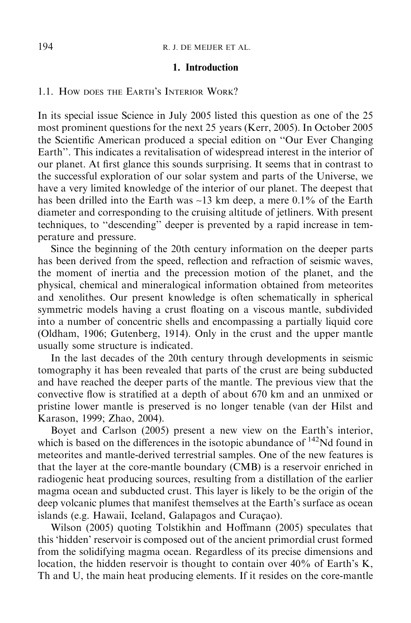#### 1. Introduction

# 1.1. HOW DOES THE EARTH'S INTERIOR WORK?

In its special issue Science in July 2005 listed this question as one of the 25 most prominent questions for the next 25 years (Kerr, 2005). In October 2005 the Scientific American produced a special edition on ''Our Ever Changing Earth''. This indicates a revitalisation of widespread interest in the interior of our planet. At first glance this sounds surprising. It seems that in contrast to the successful exploration of our solar system and parts of the Universe, we have a very limited knowledge of the interior of our planet. The deepest that has been drilled into the Earth was  $\sim$ 13 km deep, a mere 0.1% of the Earth diameter and corresponding to the cruising altitude of jetliners. With present techniques, to ''descending'' deeper is prevented by a rapid increase in temperature and pressure.

Since the beginning of the 20th century information on the deeper parts has been derived from the speed, reflection and refraction of seismic waves, the moment of inertia and the precession motion of the planet, and the physical, chemical and mineralogical information obtained from meteorites and xenolithes. Our present knowledge is often schematically in spherical symmetric models having a crust floating on a viscous mantle, subdivided into a number of concentric shells and encompassing a partially liquid core (Oldham, 1906; Gutenberg, 1914). Only in the crust and the upper mantle usually some structure is indicated.

In the last decades of the 20th century through developments in seismic tomography it has been revealed that parts of the crust are being subducted and have reached the deeper parts of the mantle. The previous view that the convective flow is stratified at a depth of about 670 km and an unmixed or pristine lower mantle is preserved is no longer tenable (van der Hilst and Karason, 1999; Zhao, 2004).

Boyet and Carlson (2005) present a new view on the Earth's interior, which is based on the differences in the isotopic abundance of  $142$ Nd found in meteorites and mantle-derived terrestrial samples. One of the new features is that the layer at the core-mantle boundary (CMB) is a reservoir enriched in radiogenic heat producing sources, resulting from a distillation of the earlier magma ocean and subducted crust. This layer is likely to be the origin of the deep volcanic plumes that manifest themselves at the Earth's surface as ocean islands (e.g. Hawaii, Iceland, Galapagos and Curacao).

Wilson (2005) quoting Tolstikhin and Hoffmann (2005) speculates that this 'hidden' reservoir is composed out of the ancient primordial crust formed from the solidifying magma ocean. Regardless of its precise dimensions and location, the hidden reservoir is thought to contain over 40% of Earth's K, Th and U, the main heat producing elements. If it resides on the core-mantle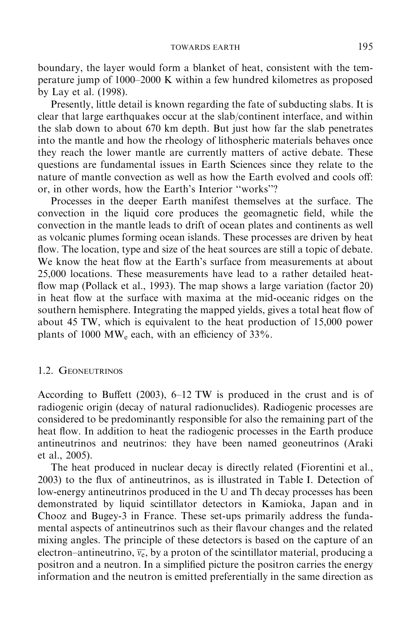boundary, the layer would form a blanket of heat, consistent with the temperature jump of 1000–2000 K within a few hundred kilometres as proposed by Lay et al. (1998).

Presently, little detail is known regarding the fate of subducting slabs. It is clear that large earthquakes occur at the slab/continent interface, and within the slab down to about 670 km depth. But just how far the slab penetrates into the mantle and how the rheology of lithospheric materials behaves once they reach the lower mantle are currently matters of active debate. These questions are fundamental issues in Earth Sciences since they relate to the nature of mantle convection as well as how the Earth evolved and cools off: or, in other words, how the Earth's Interior ''works''?

Processes in the deeper Earth manifest themselves at the surface. The convection in the liquid core produces the geomagnetic field, while the convection in the mantle leads to drift of ocean plates and continents as well as volcanic plumes forming ocean islands. These processes are driven by heat flow. The location, type and size of the heat sources are still a topic of debate. We know the heat flow at the Earth's surface from measurements at about 25,000 locations. These measurements have lead to a rather detailed heatflow map (Pollack et al., 1993). The map shows a large variation (factor 20) in heat flow at the surface with maxima at the mid-oceanic ridges on the southern hemisphere. Integrating the mapped yields, gives a total heat flow of about 45 TW, which is equivalent to the heat production of 15,000 power plants of 1000 MW $_{\rm e}$  each, with an efficiency of 33%.

## 1.2. GEONEUTRINOS

According to Buffett (2003), 6–12 TW is produced in the crust and is of radiogenic origin (decay of natural radionuclides). Radiogenic processes are considered to be predominantly responsible for also the remaining part of the heat flow. In addition to heat the radiogenic processes in the Earth produce antineutrinos and neutrinos: they have been named geoneutrinos (Araki et al., 2005).

The heat produced in nuclear decay is directly related (Fiorentini et al., 2003) to the flux of antineutrinos, as is illustrated in Table I. Detection of low-energy antineutrinos produced in the U and Th decay processes has been demonstrated by liquid scintillator detectors in Kamioka, Japan and in Chooz and Bugey-3 in France. These set-ups primarily address the fundamental aspects of antineutrinos such as their flavour changes and the related mixing angles. The principle of these detectors is based on the capture of an electron–antineutrino,  $\overline{v_e}$ , by a proton of the scintillator material, producing a positron and a neutron. In a simplified picture the positron carries the energy information and the neutron is emitted preferentially in the same direction as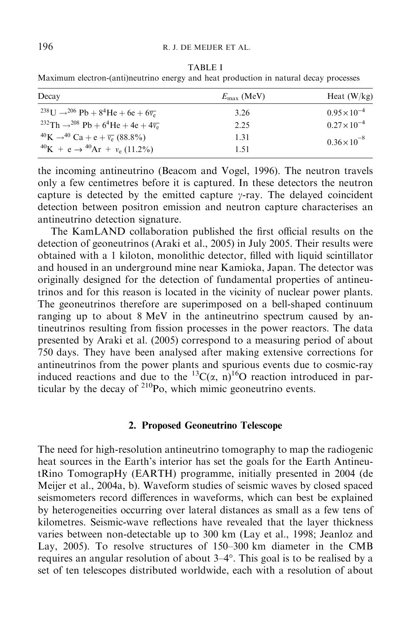Maximum electron-(anti)neutrino energy and heat production in natural decay processes

| Decay                                                                                           | $E_{\text{max}}$ (MeV) | Heat $(W/kg)$         |
|-------------------------------------------------------------------------------------------------|------------------------|-----------------------|
| <sup>238</sup> U $\rightarrow$ <sup>206</sup> Pb + 8 <sup>4</sup> He + 6e + 6 $\overline{v_e}$  | 3.26                   | $0.95 \times 10^{-4}$ |
| <sup>232</sup> Th $\rightarrow$ <sup>208</sup> Pb + 6 <sup>4</sup> He + 4e + 4 $\overline{v_e}$ | 2.25                   | $0.27 \times 10^{-4}$ |
| $^{40}$ K $\rightarrow ^{40}$ Ca + e + $\overline{v_e}$ (88.8%)                                 | 1.31                   | $0.36 \times 10^{-8}$ |
| $^{40}$ K + e $\rightarrow$ $^{40}$ Ar + v <sub>e</sub> (11.2%)                                 | 1.51                   |                       |

the incoming antineutrino (Beacom and Vogel, 1996). The neutron travels only a few centimetres before it is captured. In these detectors the neutron capture is detected by the emitted capture  $\gamma$ -ray. The delayed coincident detection between positron emission and neutron capture characterises an antineutrino detection signature.

The KamLAND collaboration published the first official results on the detection of geoneutrinos (Araki et al., 2005) in July 2005. Their results were obtained with a 1 kiloton, monolithic detector, filled with liquid scintillator and housed in an underground mine near Kamioka, Japan. The detector was originally designed for the detection of fundamental properties of antineutrinos and for this reason is located in the vicinity of nuclear power plants. The geoneutrinos therefore are superimposed on a bell-shaped continuum ranging up to about 8 MeV in the antineutrino spectrum caused by antineutrinos resulting from fission processes in the power reactors. The data presented by Araki et al. (2005) correspond to a measuring period of about 750 days. They have been analysed after making extensive corrections for antineutrinos from the power plants and spurious events due to cosmic-ray induced reactions and due to the <sup>13</sup>C( $\alpha$ , n)<sup>16</sup>O reaction introduced in particular by the decay of <sup>210</sup>Po, which mimic geoneutrino events.

### 2. Proposed Geoneutrino Telescope

The need for high-resolution antineutrino tomography to map the radiogenic heat sources in the Earth's interior has set the goals for the Earth AntineutRino TomograpHy (EARTH) programme, initially presented in 2004 (de Meijer et al., 2004a, b). Waveform studies of seismic waves by closed spaced seismometers record differences in waveforms, which can best be explained by heterogeneities occurring over lateral distances as small as a few tens of kilometres. Seismic-wave reflections have revealed that the layer thickness varies between non-detectable up to 300 km (Lay et al., 1998; Jeanloz and Lay, 2005). To resolve structures of 150–300 km diameter in the CMB requires an angular resolution of about  $3-4^{\circ}$ . This goal is to be realised by a set of ten telescopes distributed worldwide, each with a resolution of about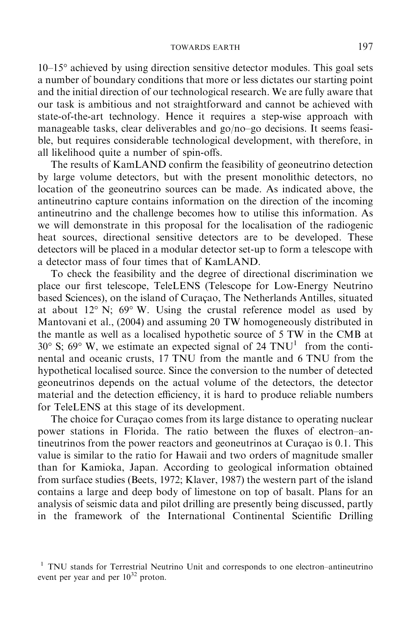$10-15^\circ$  achieved by using direction sensitive detector modules. This goal sets a number of boundary conditions that more or less dictates our starting point and the initial direction of our technological research. We are fully aware that our task is ambitious and not straightforward and cannot be achieved with state-of-the-art technology. Hence it requires a step-wise approach with manageable tasks, clear deliverables and go/no–go decisions. It seems feasible, but requires considerable technological development, with therefore, in all likelihood quite a number of spin-offs.

The results of KamLAND confirm the feasibility of geoneutrino detection by large volume detectors, but with the present monolithic detectors, no location of the geoneutrino sources can be made. As indicated above, the antineutrino capture contains information on the direction of the incoming antineutrino and the challenge becomes how to utilise this information. As we will demonstrate in this proposal for the localisation of the radiogenic heat sources, directional sensitive detectors are to be developed. These detectors will be placed in a modular detector set-up to form a telescope with a detector mass of four times that of KamLAND.

To check the feasibility and the degree of directional discrimination we place our first telescope, TeleLENS (Telescope for Low-Energy Neutrino based Sciences), on the island of Curacao, The Netherlands Antilles, situated at about  $12^{\circ}$  N;  $69^{\circ}$  W. Using the crustal reference model as used by Mantovani et al., (2004) and assuming 20 TW homogeneously distributed in the mantle as well as a localised hypothetic source of 5 TW in the CMB at  $30^{\circ}$  S;  $69^{\circ}$  W, we estimate an expected signal of 24 TNU<sup>1</sup> from the continental and oceanic crusts, 17 TNU from the mantle and 6 TNU from the hypothetical localised source. Since the conversion to the number of detected geoneutrinos depends on the actual volume of the detectors, the detector material and the detection efficiency, it is hard to produce reliable numbers for TeleLENS at this stage of its development.

The choice for Curação comes from its large distance to operating nuclear power stations in Florida. The ratio between the fluxes of electron–antineutrinos from the power reactors and geoneutrinos at Curação is 0.1. This value is similar to the ratio for Hawaii and two orders of magnitude smaller than for Kamioka, Japan. According to geological information obtained from surface studies (Beets, 1972; Klaver, 1987) the western part of the island contains a large and deep body of limestone on top of basalt. Plans for an analysis of seismic data and pilot drilling are presently being discussed, partly in the framework of the International Continental Scientific Drilling

<sup>&</sup>lt;sup>1</sup> TNU stands for Terrestrial Neutrino Unit and corresponds to one electron–antineutrino event per year and per  $10^{32}$  proton.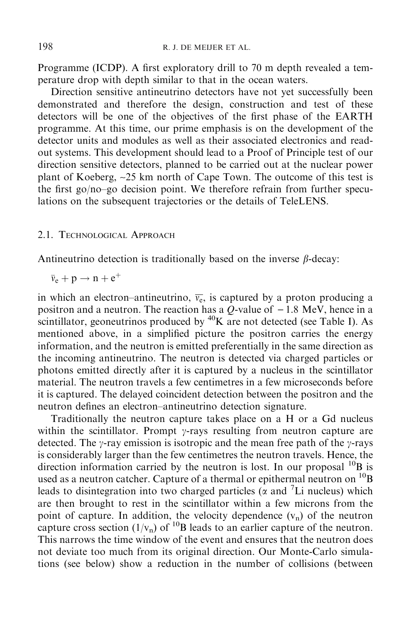Programme (ICDP). A first exploratory drill to 70 m depth revealed a temperature drop with depth similar to that in the ocean waters.

Direction sensitive antineutrino detectors have not yet successfully been demonstrated and therefore the design, construction and test of these detectors will be one of the objectives of the first phase of the EARTH programme. At this time, our prime emphasis is on the development of the detector units and modules as well as their associated electronics and readout systems. This development should lead to a Proof of Principle test of our direction sensitive detectors, planned to be carried out at the nuclear power plant of Koeberg, ~25 km north of Cape Town. The outcome of this test is the first go/no–go decision point. We therefore refrain from further speculations on the subsequent trajectories or the details of TeleLENS.

## 2.1. TECHNOLOGICAL APPROACH

Antineutrino detection is traditionally based on the inverse  $\beta$ -decay:

 $\bar{v}_e + p \rightarrow n + e^+$ 

in which an electron–antineutrino,  $\overline{v_{e}}$ , is captured by a proton producing a positron and a neutron. The reaction has a  $Q$ -value of  $-1.8$  MeV, hence in a scintillator, geoneutrinos produced by  ${}^{40}$ K are not detected (see Table I). As mentioned above, in a simplified picture the positron carries the energy information, and the neutron is emitted preferentially in the same direction as the incoming antineutrino. The neutron is detected via charged particles or photons emitted directly after it is captured by a nucleus in the scintillator material. The neutron travels a few centimetres in a few microseconds before it is captured. The delayed coincident detection between the positron and the neutron defines an electron–antineutrino detection signature.

Traditionally the neutron capture takes place on a H or a Gd nucleus within the scintillator. Prompt  $\gamma$ -rays resulting from neutron capture are detected. The  $\gamma$ -ray emission is isotropic and the mean free path of the  $\gamma$ -rays is considerably larger than the few centimetres the neutron travels. Hence, the direction information carried by the neutron is lost. In our proposal  $^{10}B$  is used as a neutron catcher. Capture of a thermal or epithermal neutron on <sup>10</sup>B leads to disintegration into two charged particles ( $\alpha$  and <sup>7</sup>Li nucleus) which are then brought to rest in the scintillator within a few microns from the point of capture. In addition, the velocity dependence  $(v_n)$  of the neutron capture cross section  $(1/v_n)$  of <sup>10</sup>B leads to an earlier capture of the neutron. This narrows the time window of the event and ensures that the neutron does not deviate too much from its original direction. Our Monte-Carlo simulations (see below) show a reduction in the number of collisions (between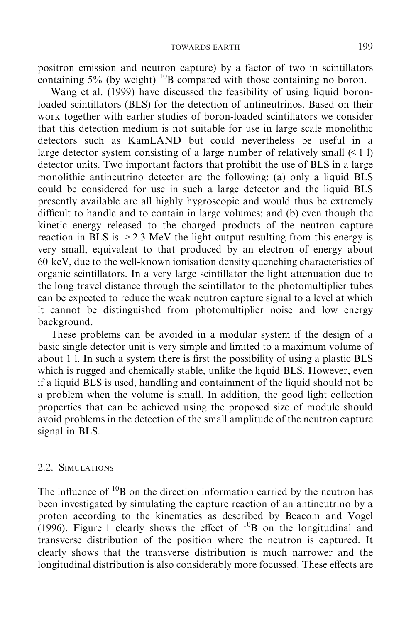positron emission and neutron capture) by a factor of two in scintillators containing  $5\%$  (by weight)  $^{10}$ B compared with those containing no boron.

Wang et al. (1999) have discussed the feasibility of using liquid boronloaded scintillators (BLS) for the detection of antineutrinos. Based on their work together with earlier studies of boron-loaded scintillators we consider that this detection medium is not suitable for use in large scale monolithic detectors such as KamLAND but could nevertheless be useful in a large detector system consisting of a large number of relatively small  $(11)$ detector units. Two important factors that prohibit the use of BLS in a large monolithic antineutrino detector are the following: (a) only a liquid BLS could be considered for use in such a large detector and the liquid BLS presently available are all highly hygroscopic and would thus be extremely difficult to handle and to contain in large volumes; and (b) even though the kinetic energy released to the charged products of the neutron capture reaction in BLS is  $>2.3$  MeV the light output resulting from this energy is very small, equivalent to that produced by an electron of energy about 60 keV, due to the well-known ionisation density quenching characteristics of organic scintillators. In a very large scintillator the light attenuation due to the long travel distance through the scintillator to the photomultiplier tubes can be expected to reduce the weak neutron capture signal to a level at which it cannot be distinguished from photomultiplier noise and low energy background.

These problems can be avoided in a modular system if the design of a basic single detector unit is very simple and limited to a maximum volume of about 1 l. In such a system there is first the possibility of using a plastic BLS which is rugged and chemically stable, unlike the liquid BLS. However, even if a liquid BLS is used, handling and containment of the liquid should not be a problem when the volume is small. In addition, the good light collection properties that can be achieved using the proposed size of module should avoid problems in the detection of the small amplitude of the neutron capture signal in BLS.

## 2.2. SIMULATIONS

The influence of  $^{10}$ B on the direction information carried by the neutron has been investigated by simulating the capture reaction of an antineutrino by a proton according to the kinematics as described by Beacom and Vogel (1996). Figure 1 clearly shows the effect of  $^{10}$ B on the longitudinal and transverse distribution of the position where the neutron is captured. It clearly shows that the transverse distribution is much narrower and the longitudinal distribution is also considerably more focussed. These effects are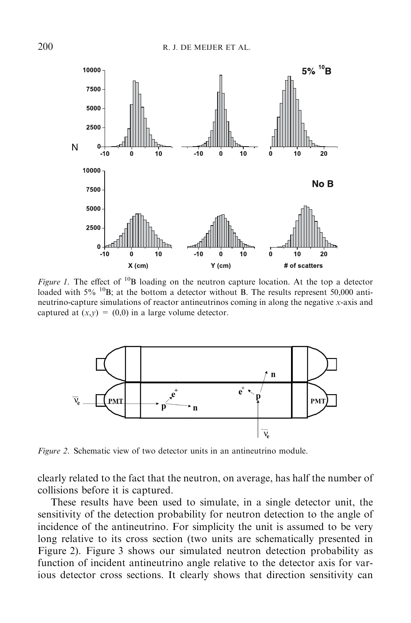

*Figure 1.* The effect of <sup>10</sup>B loading on the neutron capture location. At the top a detector loaded with  $5\%$  <sup>10</sup>B; at the bottom a detector without B. The results represent 50,000 antineutrino-capture simulations of reactor antineutrinos coming in along the negative x-axis and captured at  $(x,y) = (0,0)$  in a large volume detector.



Figure 2. Schematic view of two detector units in an antineutrino module.

clearly related to the fact that the neutron, on average, has half the number of collisions before it is captured.

These results have been used to simulate, in a single detector unit, the sensitivity of the detection probability for neutron detection to the angle of incidence of the antineutrino. For simplicity the unit is assumed to be very long relative to its cross section (two units are schematically presented in Figure 2). Figure 3 shows our simulated neutron detection probability as function of incident antineutrino angle relative to the detector axis for various detector cross sections. It clearly shows that direction sensitivity can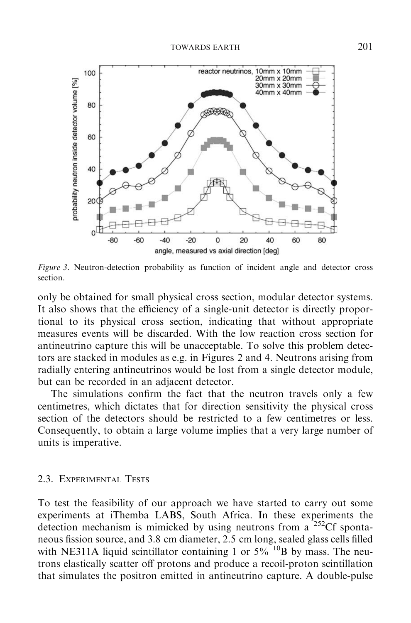

Figure 3. Neutron-detection probability as function of incident angle and detector cross section.

only be obtained for small physical cross section, modular detector systems. It also shows that the efficiency of a single-unit detector is directly proportional to its physical cross section, indicating that without appropriate measures events will be discarded. With the low reaction cross section for antineutrino capture this will be unacceptable. To solve this problem detectors are stacked in modules as e.g. in Figures 2 and 4. Neutrons arising from radially entering antineutrinos would be lost from a single detector module, but can be recorded in an adjacent detector.

The simulations confirm the fact that the neutron travels only a few centimetres, which dictates that for direction sensitivity the physical cross section of the detectors should be restricted to a few centimetres or less. Consequently, to obtain a large volume implies that a very large number of units is imperative.

### 2.3. EXPERIMENTAL TESTS

To test the feasibility of our approach we have started to carry out some experiments at iThemba LABS, South Africa. In these experiments the detection mechanism is mimicked by using neutrons from a  $^{252}$ Cf spontaneous fission source, and 3.8 cm diameter, 2.5 cm long, sealed glass cells filled with NE311A liquid scintillator containing 1 or  $5\%$ <sup>10</sup>B by mass. The neutrons elastically scatter off protons and produce a recoil-proton scintillation that simulates the positron emitted in antineutrino capture. A double-pulse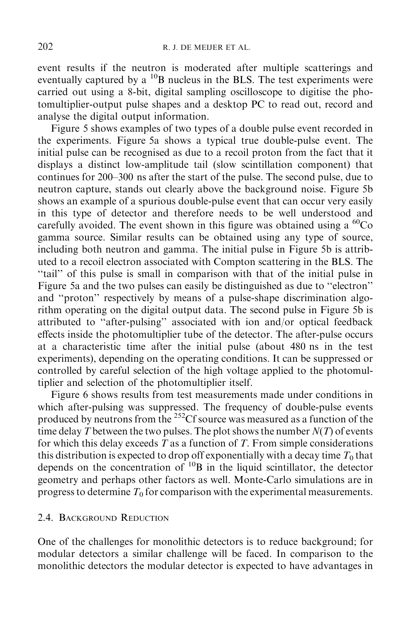event results if the neutron is moderated after multiple scatterings and eventually captured by a  ${}^{10}B$  nucleus in the BLS. The test experiments were carried out using a 8-bit, digital sampling oscilloscope to digitise the photomultiplier-output pulse shapes and a desktop PC to read out, record and analyse the digital output information.

Figure 5 shows examples of two types of a double pulse event recorded in the experiments. Figure 5a shows a typical true double-pulse event. The initial pulse can be recognised as due to a recoil proton from the fact that it displays a distinct low-amplitude tail (slow scintillation component) that continues for 200–300 ns after the start of the pulse. The second pulse, due to neutron capture, stands out clearly above the background noise. Figure 5b shows an example of a spurious double-pulse event that can occur very easily in this type of detector and therefore needs to be well understood and carefully avoided. The event shown in this figure was obtained using a  ${}^{60}Co$ gamma source. Similar results can be obtained using any type of source, including both neutron and gamma. The initial pulse in Figure 5b is attributed to a recoil electron associated with Compton scattering in the BLS. The ''tail'' of this pulse is small in comparison with that of the initial pulse in Figure 5a and the two pulses can easily be distinguished as due to ''electron'' and ''proton'' respectively by means of a pulse-shape discrimination algorithm operating on the digital output data. The second pulse in Figure 5b is attributed to ''after-pulsing'' associated with ion and/or optical feedback effects inside the photomultiplier tube of the detector. The after-pulse occurs at a characteristic time after the initial pulse (about 480 ns in the test experiments), depending on the operating conditions. It can be suppressed or controlled by careful selection of the high voltage applied to the photomultiplier and selection of the photomultiplier itself.

Figure 6 shows results from test measurements made under conditions in which after-pulsing was suppressed. The frequency of double-pulse events produced by neutrons from the 252Cf source was measured as a function of the time delay T between the two pulses. The plot shows the number  $N(T)$  of events for which this delay exceeds  $T$  as a function of  $T$ . From simple considerations this distribution is expected to drop off exponentially with a decay time  $T_0$  that depends on the concentration of  $^{10}B$  in the liquid scintillator, the detector geometry and perhaps other factors as well. Monte-Carlo simulations are in progress to determine  $T_0$  for comparison with the experimental measurements.

## 2.4. BACKGROUND REDUCTION

One of the challenges for monolithic detectors is to reduce background; for modular detectors a similar challenge will be faced. In comparison to the monolithic detectors the modular detector is expected to have advantages in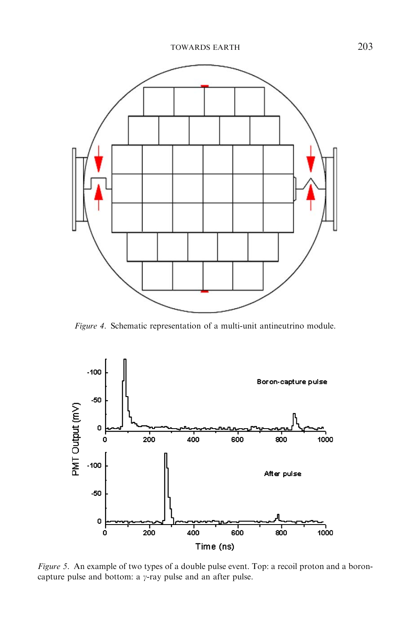

Figure 4. Schematic representation of a multi-unit antineutrino module.



Figure 5. An example of two types of a double pulse event. Top: a recoil proton and a boroncapture pulse and bottom: a  $\gamma$ -ray pulse and an after pulse.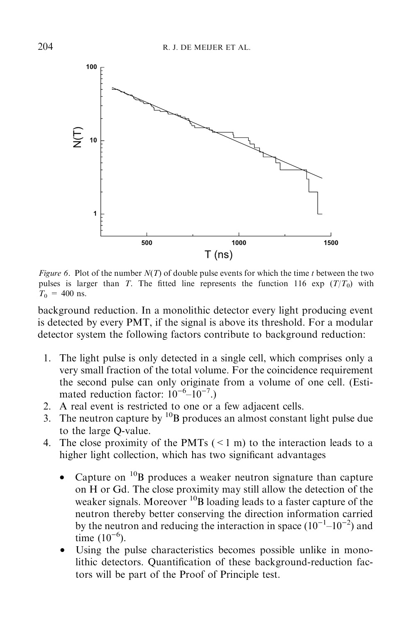

Figure 6. Plot of the number  $N(T)$  of double pulse events for which the time t between the two pulses is larger than T. The fitted line represents the function 116 exp  $(T/T_0)$  with  $T_0 = 400$  ns.

background reduction. In a monolithic detector every light producing event is detected by every PMT, if the signal is above its threshold. For a modular detector system the following factors contribute to background reduction:

- 1. The light pulse is only detected in a single cell, which comprises only a very small fraction of the total volume. For the coincidence requirement the second pulse can only originate from a volume of one cell. (Estimated reduction factor:  $10^{-6}$ – $10^{-7}$ .)
- 2. A real event is restricted to one or a few adjacent cells.
- 3. The neutron capture by  $^{10}$ B produces an almost constant light pulse due to the large Q-value.
- 4. The close proximity of the PMTs  $(< 1 \text{ m})$  to the interaction leads to a higher light collection, which has two significant advantages
	- Capture on  $^{10}$ B produces a weaker neutron signature than capture on H or Gd. The close proximity may still allow the detection of the weaker signals. Moreover <sup>10</sup>B loading leads to a faster capture of the neutron thereby better conserving the direction information carried by the neutron and reducing the interaction in space  $(10^{-1}$ – $10^{-2})$  and time  $(10^{-6})$ .
	- Using the pulse characteristics becomes possible unlike in monolithic detectors. Quantification of these background-reduction factors will be part of the Proof of Principle test.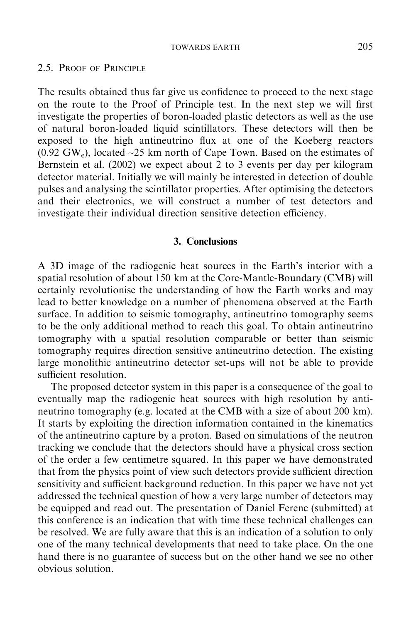#### 2.5. PROOF OF PRINCIPLE

The results obtained thus far give us confidence to proceed to the next stage on the route to the Proof of Principle test. In the next step we will first investigate the properties of boron-loaded plastic detectors as well as the use of natural boron-loaded liquid scintillators. These detectors will then be exposed to the high antineutrino flux at one of the Koeberg reactors (0.92 GW<sub>e</sub>), located  $\sim$ 25 km north of Cape Town. Based on the estimates of Bernstein et al. (2002) we expect about 2 to 3 events per day per kilogram detector material. Initially we will mainly be interested in detection of double pulses and analysing the scintillator properties. After optimising the detectors and their electronics, we will construct a number of test detectors and investigate their individual direction sensitive detection efficiency.

## 3. Conclusions

A 3D image of the radiogenic heat sources in the Earth's interior with a spatial resolution of about 150 km at the Core-Mantle-Boundary (CMB) will certainly revolutionise the understanding of how the Earth works and may lead to better knowledge on a number of phenomena observed at the Earth surface. In addition to seismic tomography, antineutrino tomography seems to be the only additional method to reach this goal. To obtain antineutrino tomography with a spatial resolution comparable or better than seismic tomography requires direction sensitive antineutrino detection. The existing large monolithic antineutrino detector set-ups will not be able to provide sufficient resolution.

The proposed detector system in this paper is a consequence of the goal to eventually map the radiogenic heat sources with high resolution by antineutrino tomography (e.g. located at the CMB with a size of about 200 km). It starts by exploiting the direction information contained in the kinematics of the antineutrino capture by a proton. Based on simulations of the neutron tracking we conclude that the detectors should have a physical cross section of the order a few centimetre squared. In this paper we have demonstrated that from the physics point of view such detectors provide sufficient direction sensitivity and sufficient background reduction. In this paper we have not yet addressed the technical question of how a very large number of detectors may be equipped and read out. The presentation of Daniel Ferenc (submitted) at this conference is an indication that with time these technical challenges can be resolved. We are fully aware that this is an indication of a solution to only one of the many technical developments that need to take place. On the one hand there is no guarantee of success but on the other hand we see no other obvious solution.